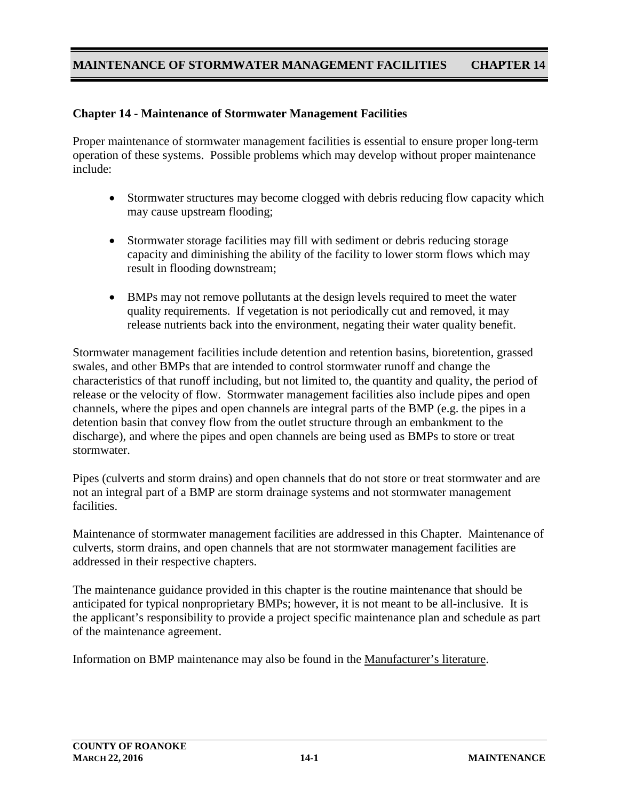### **Chapter 14 - Maintenance of Stormwater Management Facilities**

Proper maintenance of stormwater management facilities is essential to ensure proper long-term operation of these systems. Possible problems which may develop without proper maintenance include:

- Stormwater structures may become clogged with debris reducing flow capacity which may cause upstream flooding;
- Stormwater storage facilities may fill with sediment or debris reducing storage capacity and diminishing the ability of the facility to lower storm flows which may result in flooding downstream;
- BMPs may not remove pollutants at the design levels required to meet the water quality requirements. If vegetation is not periodically cut and removed, it may release nutrients back into the environment, negating their water quality benefit.

Stormwater management facilities include detention and retention basins, bioretention, grassed swales, and other BMPs that are intended to control stormwater runoff and change the characteristics of that runoff including, but not limited to, the quantity and quality, the period of release or the velocity of flow. Stormwater management facilities also include pipes and open channels, where the pipes and open channels are integral parts of the BMP (e.g. the pipes in a detention basin that convey flow from the outlet structure through an embankment to the discharge), and where the pipes and open channels are being used as BMPs to store or treat stormwater.

Pipes (culverts and storm drains) and open channels that do not store or treat stormwater and are not an integral part of a BMP are storm drainage systems and not stormwater management facilities.

Maintenance of stormwater management facilities are addressed in this Chapter. Maintenance of culverts, storm drains, and open channels that are not stormwater management facilities are addressed in their respective chapters.

The maintenance guidance provided in this chapter is the routine maintenance that should be anticipated for typical nonproprietary BMPs; however, it is not meant to be all-inclusive. It is the applicant's responsibility to provide a project specific maintenance plan and schedule as part of the maintenance agreement.

Information on BMP maintenance may also be found in the Manufacturer's literature.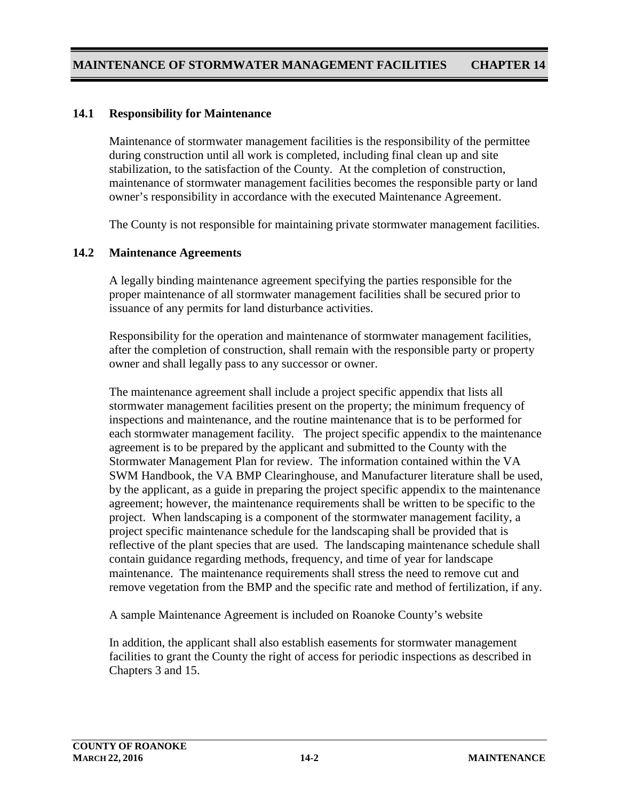### **14.1 Responsibility for Maintenance**

Maintenance of stormwater management facilities is the responsibility of the permittee during construction until all work is completed, including final clean up and site stabilization, to the satisfaction of the County. At the completion of construction, maintenance of stormwater management facilities becomes the responsible party or land owner's responsibility in accordance with the executed Maintenance Agreement.

The County is not responsible for maintaining private stormwater management facilities.

#### **14.2 Maintenance Agreements**

A legally binding maintenance agreement specifying the parties responsible for the proper maintenance of all stormwater management facilities shall be secured prior to issuance of any permits for land disturbance activities.

Responsibility for the operation and maintenance of stormwater management facilities, after the completion of construction, shall remain with the responsible party or property owner and shall legally pass to any successor or owner.

The maintenance agreement shall include a project specific appendix that lists all stormwater management facilities present on the property; the minimum frequency of inspections and maintenance, and the routine maintenance that is to be performed for each stormwater management facility. The project specific appendix to the maintenance agreement is to be prepared by the applicant and submitted to the County with the Stormwater Management Plan for review. The information contained within the VA SWM Handbook, the VA BMP Clearinghouse, and Manufacturer literature shall be used, by the applicant, as a guide in preparing the project specific appendix to the maintenance agreement; however, the maintenance requirements shall be written to be specific to the project. When landscaping is a component of the stormwater management facility, a project specific maintenance schedule for the landscaping shall be provided that is reflective of the plant species that are used. The landscaping maintenance schedule shall contain guidance regarding methods, frequency, and time of year for landscape maintenance. The maintenance requirements shall stress the need to remove cut and remove vegetation from the BMP and the specific rate and method of fertilization, if any.

A sample Maintenance Agreement is included on Roanoke County's website

In addition, the applicant shall also establish easements for stormwater management facilities to grant the County the right of access for periodic inspections as described in Chapters 3 and 15.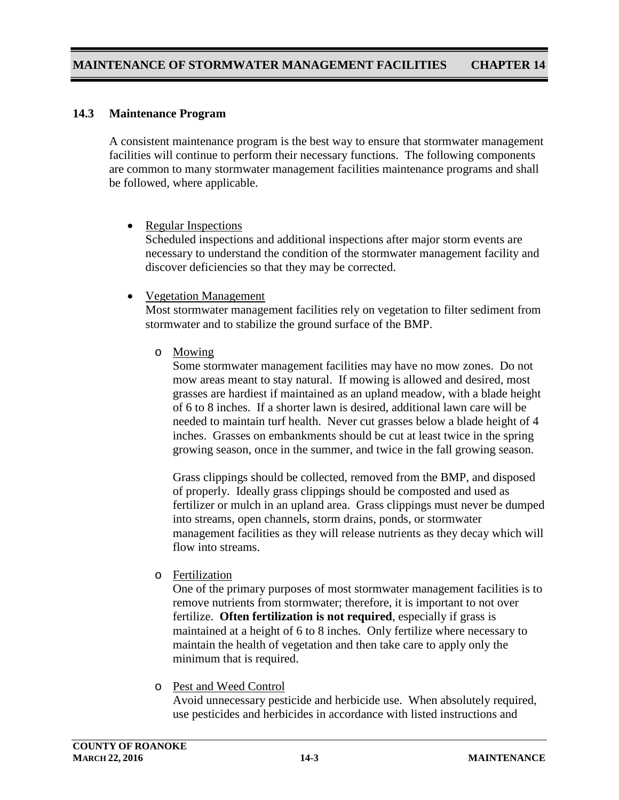#### **14.3 Maintenance Program**

A consistent maintenance program is the best way to ensure that stormwater management facilities will continue to perform their necessary functions. The following components are common to many stormwater management facilities maintenance programs and shall be followed, where applicable.

• Regular Inspections

Scheduled inspections and additional inspections after major storm events are necessary to understand the condition of the stormwater management facility and discover deficiencies so that they may be corrected.

• Vegetation Management

Most stormwater management facilities rely on vegetation to filter sediment from stormwater and to stabilize the ground surface of the BMP.

o Mowing

Some stormwater management facilities may have no mow zones. Do not mow areas meant to stay natural. If mowing is allowed and desired, most grasses are hardiest if maintained as an upland meadow, with a blade height of 6 to 8 inches. If a shorter lawn is desired, additional lawn care will be needed to maintain turf health. Never cut grasses below a blade height of 4 inches. Grasses on embankments should be cut at least twice in the spring growing season, once in the summer, and twice in the fall growing season.

Grass clippings should be collected, removed from the BMP, and disposed of properly. Ideally grass clippings should be composted and used as fertilizer or mulch in an upland area. Grass clippings must never be dumped into streams, open channels, storm drains, ponds, or stormwater management facilities as they will release nutrients as they decay which will flow into streams.

o Fertilization

One of the primary purposes of most stormwater management facilities is to remove nutrients from stormwater; therefore, it is important to not over fertilize. **Often fertilization is not required**, especially if grass is maintained at a height of 6 to 8 inches. Only fertilize where necessary to maintain the health of vegetation and then take care to apply only the minimum that is required.

o Pest and Weed Control

Avoid unnecessary pesticide and herbicide use. When absolutely required, use pesticides and herbicides in accordance with listed instructions and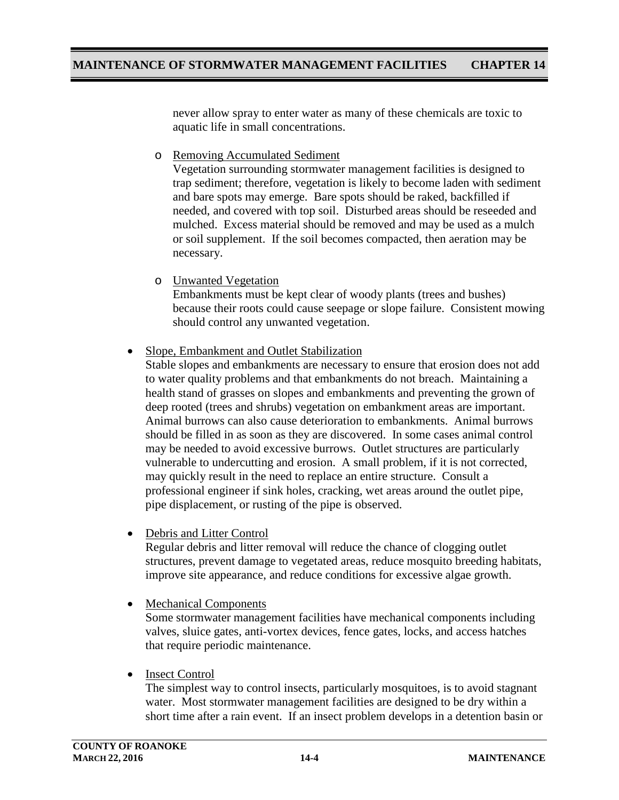never allow spray to enter water as many of these chemicals are toxic to aquatic life in small concentrations.

o Removing Accumulated Sediment

Vegetation surrounding stormwater management facilities is designed to trap sediment; therefore, vegetation is likely to become laden with sediment and bare spots may emerge. Bare spots should be raked, backfilled if needed, and covered with top soil. Disturbed areas should be reseeded and mulched. Excess material should be removed and may be used as a mulch or soil supplement. If the soil becomes compacted, then aeration may be necessary.

o Unwanted Vegetation

Embankments must be kept clear of woody plants (trees and bushes) because their roots could cause seepage or slope failure. Consistent mowing should control any unwanted vegetation.

• Slope, Embankment and Outlet Stabilization

Stable slopes and embankments are necessary to ensure that erosion does not add to water quality problems and that embankments do not breach. Maintaining a health stand of grasses on slopes and embankments and preventing the grown of deep rooted (trees and shrubs) vegetation on embankment areas are important. Animal burrows can also cause deterioration to embankments. Animal burrows should be filled in as soon as they are discovered. In some cases animal control may be needed to avoid excessive burrows. Outlet structures are particularly vulnerable to undercutting and erosion. A small problem, if it is not corrected, may quickly result in the need to replace an entire structure. Consult a professional engineer if sink holes, cracking, wet areas around the outlet pipe, pipe displacement, or rusting of the pipe is observed.

• Debris and Litter Control

Regular debris and litter removal will reduce the chance of clogging outlet structures, prevent damage to vegetated areas, reduce mosquito breeding habitats, improve site appearance, and reduce conditions for excessive algae growth.

• Mechanical Components

Some stormwater management facilities have mechanical components including valves, sluice gates, anti-vortex devices, fence gates, locks, and access hatches that require periodic maintenance.

• Insect Control

The simplest way to control insects, particularly mosquitoes, is to avoid stagnant water. Most stormwater management facilities are designed to be dry within a short time after a rain event. If an insect problem develops in a detention basin or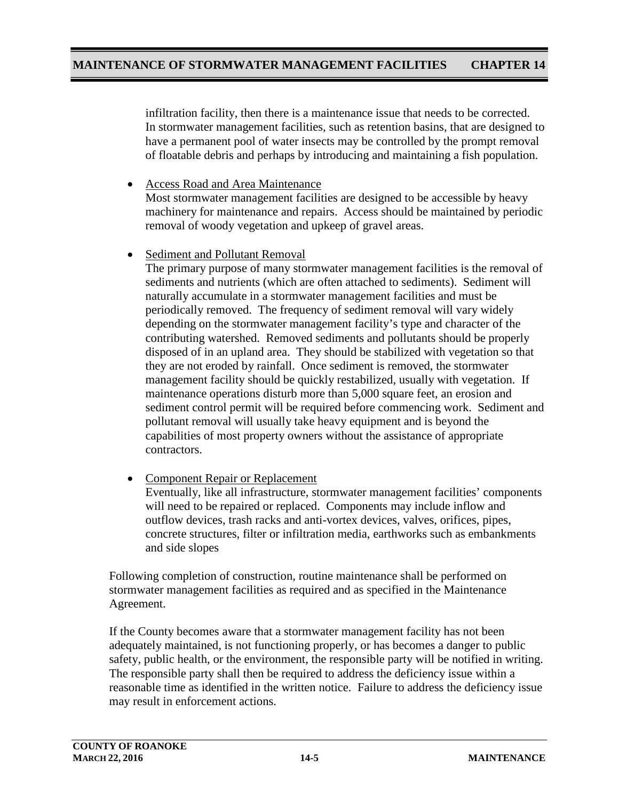infiltration facility, then there is a maintenance issue that needs to be corrected. In stormwater management facilities, such as retention basins, that are designed to have a permanent pool of water insects may be controlled by the prompt removal of floatable debris and perhaps by introducing and maintaining a fish population.

- Access Road and Area Maintenance Most stormwater management facilities are designed to be accessible by heavy machinery for maintenance and repairs. Access should be maintained by periodic removal of woody vegetation and upkeep of gravel areas.
- Sediment and Pollutant Removal

The primary purpose of many stormwater management facilities is the removal of sediments and nutrients (which are often attached to sediments). Sediment will naturally accumulate in a stormwater management facilities and must be periodically removed. The frequency of sediment removal will vary widely depending on the stormwater management facility's type and character of the contributing watershed. Removed sediments and pollutants should be properly disposed of in an upland area. They should be stabilized with vegetation so that they are not eroded by rainfall. Once sediment is removed, the stormwater management facility should be quickly restabilized, usually with vegetation. If maintenance operations disturb more than 5,000 square feet, an erosion and sediment control permit will be required before commencing work. Sediment and pollutant removal will usually take heavy equipment and is beyond the capabilities of most property owners without the assistance of appropriate contractors.

• Component Repair or Replacement Eventually, like all infrastructure, stormwater management facilities' components will need to be repaired or replaced. Components may include inflow and outflow devices, trash racks and anti-vortex devices, valves, orifices, pipes, concrete structures, filter or infiltration media, earthworks such as embankments and side slopes

Following completion of construction, routine maintenance shall be performed on stormwater management facilities as required and as specified in the Maintenance Agreement.

If the County becomes aware that a stormwater management facility has not been adequately maintained, is not functioning properly, or has becomes a danger to public safety, public health, or the environment, the responsible party will be notified in writing. The responsible party shall then be required to address the deficiency issue within a reasonable time as identified in the written notice. Failure to address the deficiency issue may result in enforcement actions.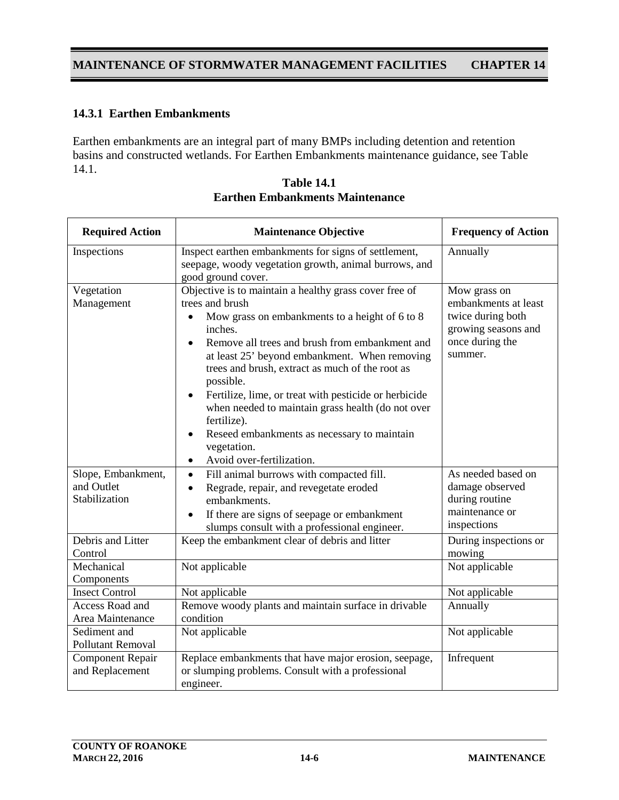### **14.3.1 Earthen Embankments**

Earthen embankments are an integral part of many BMPs including detention and retention basins and constructed wetlands. For Earthen Embankments maintenance guidance, see Table 14.1.

| <b>Required Action</b>                            | <b>Maintenance Objective</b>                                                                                                                                                                                                                                                                                                                                                                                                                                                                                                                   | <b>Frequency of Action</b>                                                                                     |
|---------------------------------------------------|------------------------------------------------------------------------------------------------------------------------------------------------------------------------------------------------------------------------------------------------------------------------------------------------------------------------------------------------------------------------------------------------------------------------------------------------------------------------------------------------------------------------------------------------|----------------------------------------------------------------------------------------------------------------|
| Inspections                                       | Inspect earthen embankments for signs of settlement,<br>seepage, woody vegetation growth, animal burrows, and<br>good ground cover.                                                                                                                                                                                                                                                                                                                                                                                                            | Annually                                                                                                       |
| Vegetation<br>Management                          | Objective is to maintain a healthy grass cover free of<br>trees and brush<br>Mow grass on embankments to a height of 6 to 8<br>inches.<br>Remove all trees and brush from embankment and<br>at least 25' beyond embankment. When removing<br>trees and brush, extract as much of the root as<br>possible.<br>Fertilize, lime, or treat with pesticide or herbicide<br>when needed to maintain grass health (do not over<br>fertilize).<br>Reseed embankments as necessary to maintain<br>vegetation.<br>Avoid over-fertilization.<br>$\bullet$ | Mow grass on<br>embankments at least<br>twice during both<br>growing seasons and<br>once during the<br>summer. |
| Slope, Embankment,<br>and Outlet<br>Stabilization | Fill animal burrows with compacted fill.<br>$\bullet$<br>Regrade, repair, and revegetate eroded<br>$\bullet$<br>embankments.<br>If there are signs of seepage or embankment<br>slumps consult with a professional engineer.                                                                                                                                                                                                                                                                                                                    | As needed based on<br>damage observed<br>during routine<br>maintenance or<br>inspections                       |
| Debris and Litter<br>Control                      | Keep the embankment clear of debris and litter                                                                                                                                                                                                                                                                                                                                                                                                                                                                                                 | During inspections or<br>mowing                                                                                |
| Mechanical<br>Components                          | Not applicable                                                                                                                                                                                                                                                                                                                                                                                                                                                                                                                                 | Not applicable                                                                                                 |
| <b>Insect Control</b>                             | Not applicable                                                                                                                                                                                                                                                                                                                                                                                                                                                                                                                                 | Not applicable                                                                                                 |
| <b>Access Road and</b><br>Area Maintenance        | Remove woody plants and maintain surface in drivable<br>condition                                                                                                                                                                                                                                                                                                                                                                                                                                                                              | Annually                                                                                                       |
| Sediment and<br><b>Pollutant Removal</b>          | Not applicable                                                                                                                                                                                                                                                                                                                                                                                                                                                                                                                                 | Not applicable                                                                                                 |
| <b>Component Repair</b><br>and Replacement        | Replace embankments that have major erosion, seepage,<br>or slumping problems. Consult with a professional<br>engineer.                                                                                                                                                                                                                                                                                                                                                                                                                        | Infrequent                                                                                                     |

| <b>Table 14.1</b>                      |
|----------------------------------------|
| <b>Earthen Embankments Maintenance</b> |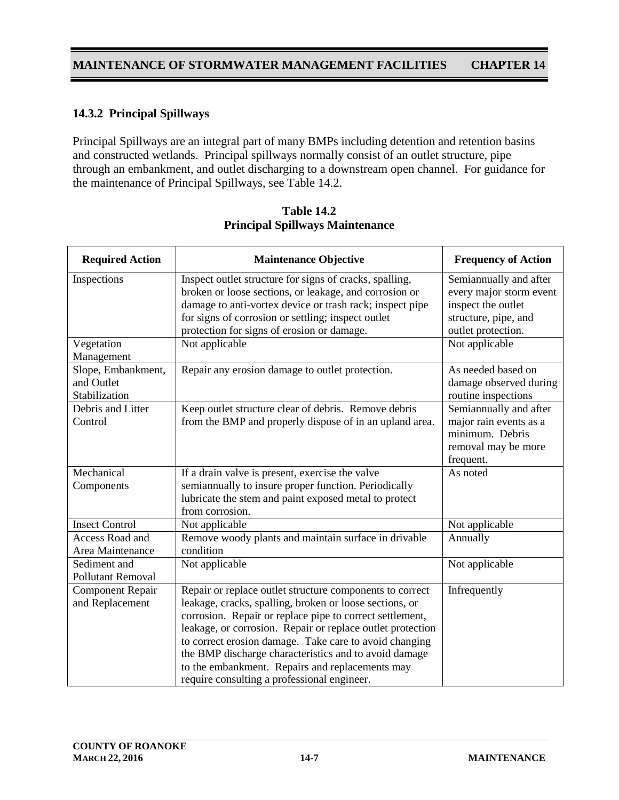### **14.3.2 Principal Spillways**

Principal Spillways are an integral part of many BMPs including detention and retention basins and constructed wetlands. Principal spillways normally consist of an outlet structure, pipe through an embankment, and outlet discharging to a downstream open channel. For guidance for the maintenance of Principal Spillways, see Table 14.2.

| <b>Required Action</b>                            | <b>Maintenance Objective</b>                                                                                                                                                                                                                                                                                                                                                                                                                                       | <b>Frequency of Action</b>                                                                                            |
|---------------------------------------------------|--------------------------------------------------------------------------------------------------------------------------------------------------------------------------------------------------------------------------------------------------------------------------------------------------------------------------------------------------------------------------------------------------------------------------------------------------------------------|-----------------------------------------------------------------------------------------------------------------------|
| Inspections                                       | Inspect outlet structure for signs of cracks, spalling,<br>broken or loose sections, or leakage, and corrosion or<br>damage to anti-vortex device or trash rack; inspect pipe<br>for signs of corrosion or settling; inspect outlet<br>protection for signs of erosion or damage.                                                                                                                                                                                  | Semiannually and after<br>every major storm event<br>inspect the outlet<br>structure, pipe, and<br>outlet protection. |
| Vegetation<br>Management                          | Not applicable                                                                                                                                                                                                                                                                                                                                                                                                                                                     | Not applicable                                                                                                        |
| Slope, Embankment,<br>and Outlet<br>Stabilization | Repair any erosion damage to outlet protection.                                                                                                                                                                                                                                                                                                                                                                                                                    | As needed based on<br>damage observed during<br>routine inspections                                                   |
| Debris and Litter<br>Control                      | Keep outlet structure clear of debris. Remove debris<br>from the BMP and properly dispose of in an upland area.                                                                                                                                                                                                                                                                                                                                                    | Semiannually and after<br>major rain events as a<br>minimum. Debris<br>removal may be more<br>frequent.               |
| Mechanical<br>Components                          | If a drain valve is present, exercise the valve<br>semiannually to insure proper function. Periodically<br>lubricate the stem and paint exposed metal to protect<br>from corrosion.                                                                                                                                                                                                                                                                                | As noted                                                                                                              |
| <b>Insect Control</b>                             | Not applicable                                                                                                                                                                                                                                                                                                                                                                                                                                                     | Not applicable                                                                                                        |
| Access Road and<br>Area Maintenance               | Remove woody plants and maintain surface in drivable<br>condition                                                                                                                                                                                                                                                                                                                                                                                                  | Annually                                                                                                              |
| Sediment and<br>Pollutant Removal                 | Not applicable                                                                                                                                                                                                                                                                                                                                                                                                                                                     | Not applicable                                                                                                        |
| <b>Component Repair</b><br>and Replacement        | Repair or replace outlet structure components to correct<br>leakage, cracks, spalling, broken or loose sections, or<br>corrosion. Repair or replace pipe to correct settlement,<br>leakage, or corrosion. Repair or replace outlet protection<br>to correct erosion damage. Take care to avoid changing<br>the BMP discharge characteristics and to avoid damage<br>to the embankment. Repairs and replacements may<br>require consulting a professional engineer. | Infrequently                                                                                                          |

**Table 14.2 Principal Spillways Maintenance**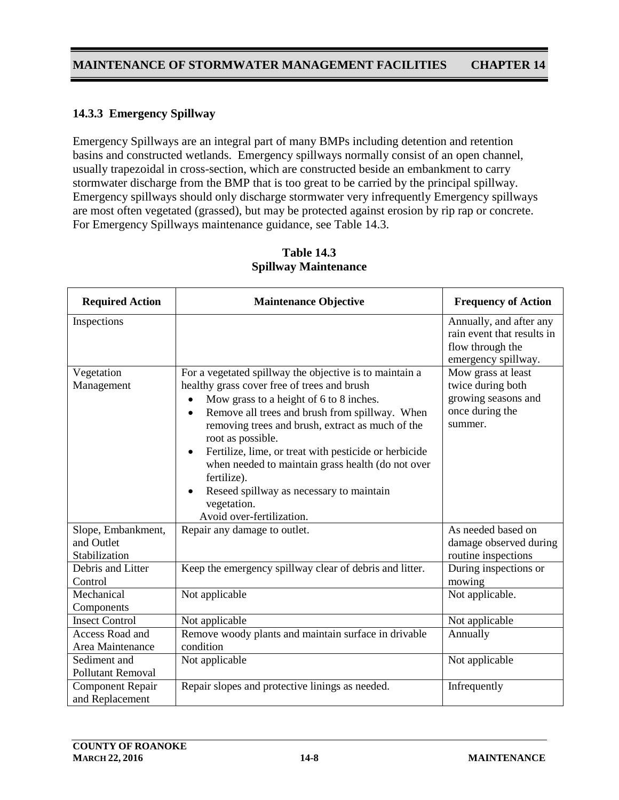## **14.3.3 Emergency Spillway**

Emergency Spillways are an integral part of many BMPs including detention and retention basins and constructed wetlands. Emergency spillways normally consist of an open channel, usually trapezoidal in cross-section, which are constructed beside an embankment to carry stormwater discharge from the BMP that is too great to be carried by the principal spillway. Emergency spillways should only discharge stormwater very infrequently Emergency spillways are most often vegetated (grassed), but may be protected against erosion by rip rap or concrete. For Emergency Spillways maintenance guidance, see Table 14.3.

| <b>Required Action</b>                            | <b>Maintenance Objective</b>                                                                                                                                                                                                                                                                                                                                                                                                                                                                                                | <b>Frequency of Action</b>                                                                       |
|---------------------------------------------------|-----------------------------------------------------------------------------------------------------------------------------------------------------------------------------------------------------------------------------------------------------------------------------------------------------------------------------------------------------------------------------------------------------------------------------------------------------------------------------------------------------------------------------|--------------------------------------------------------------------------------------------------|
| Inspections                                       |                                                                                                                                                                                                                                                                                                                                                                                                                                                                                                                             | Annually, and after any<br>rain event that results in<br>flow through the<br>emergency spillway. |
| Vegetation<br>Management                          | For a vegetated spillway the objective is to maintain a<br>healthy grass cover free of trees and brush<br>Mow grass to a height of 6 to 8 inches.<br>Remove all trees and brush from spillway. When<br>$\bullet$<br>removing trees and brush, extract as much of the<br>root as possible.<br>Fertilize, lime, or treat with pesticide or herbicide<br>when needed to maintain grass health (do not over<br>fertilize).<br>Reseed spillway as necessary to maintain<br>$\bullet$<br>vegetation.<br>Avoid over-fertilization. | Mow grass at least<br>twice during both<br>growing seasons and<br>once during the<br>summer.     |
| Slope, Embankment,<br>and Outlet<br>Stabilization | Repair any damage to outlet.                                                                                                                                                                                                                                                                                                                                                                                                                                                                                                | As needed based on<br>damage observed during<br>routine inspections                              |
| Debris and Litter<br>Control                      | Keep the emergency spillway clear of debris and litter.                                                                                                                                                                                                                                                                                                                                                                                                                                                                     | During inspections or<br>mowing                                                                  |
| Mechanical<br>Components                          | Not applicable                                                                                                                                                                                                                                                                                                                                                                                                                                                                                                              | Not applicable.                                                                                  |
| <b>Insect Control</b>                             | Not applicable                                                                                                                                                                                                                                                                                                                                                                                                                                                                                                              | Not applicable                                                                                   |
| Access Road and<br>Area Maintenance               | Remove woody plants and maintain surface in drivable<br>condition                                                                                                                                                                                                                                                                                                                                                                                                                                                           | Annually                                                                                         |
| Sediment and<br><b>Pollutant Removal</b>          | Not applicable                                                                                                                                                                                                                                                                                                                                                                                                                                                                                                              | Not applicable                                                                                   |
| <b>Component Repair</b><br>and Replacement        | Repair slopes and protective linings as needed.                                                                                                                                                                                                                                                                                                                                                                                                                                                                             | Infrequently                                                                                     |

#### **Table 14.3 Spillway Maintenance**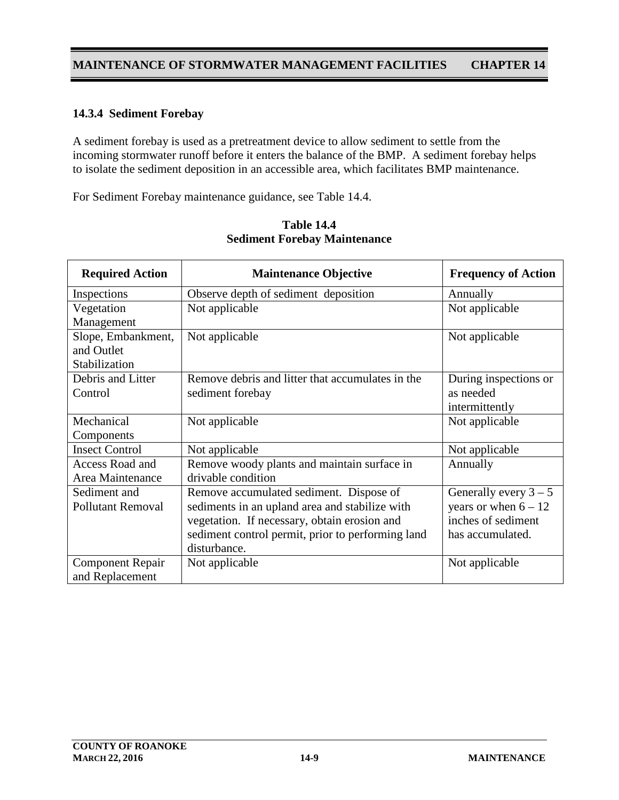### **14.3.4 Sediment Forebay**

A sediment forebay is used as a pretreatment device to allow sediment to settle from the incoming stormwater runoff before it enters the balance of the BMP. A sediment forebay helps to isolate the sediment deposition in an accessible area, which facilitates BMP maintenance.

For Sediment Forebay maintenance guidance, see Table 14.4.

| <b>Required Action</b>   | <b>Maintenance Objective</b>                      | <b>Frequency of Action</b> |
|--------------------------|---------------------------------------------------|----------------------------|
| Inspections              | Observe depth of sediment deposition              | Annually                   |
| Vegetation               | Not applicable                                    | Not applicable             |
| Management               |                                                   |                            |
| Slope, Embankment,       | Not applicable                                    | Not applicable             |
| and Outlet               |                                                   |                            |
| Stabilization            |                                                   |                            |
| Debris and Litter        | Remove debris and litter that accumulates in the  | During inspections or      |
| Control                  | sediment forebay                                  | as needed                  |
|                          |                                                   | intermittently             |
| Mechanical               | Not applicable                                    | Not applicable             |
| Components               |                                                   |                            |
| <b>Insect Control</b>    | Not applicable                                    | Not applicable             |
| Access Road and          | Remove woody plants and maintain surface in       | Annually                   |
| Area Maintenance         | drivable condition                                |                            |
| Sediment and             | Remove accumulated sediment. Dispose of           | Generally every $3 - 5$    |
| <b>Pollutant Removal</b> | sediments in an upland area and stabilize with    | years or when $6 - 12$     |
|                          | vegetation. If necessary, obtain erosion and      | inches of sediment         |
|                          | sediment control permit, prior to performing land | has accumulated.           |
|                          | disturbance.                                      |                            |
| <b>Component Repair</b>  | Not applicable                                    | Not applicable             |
| and Replacement          |                                                   |                            |

**Table 14.4 Sediment Forebay Maintenance**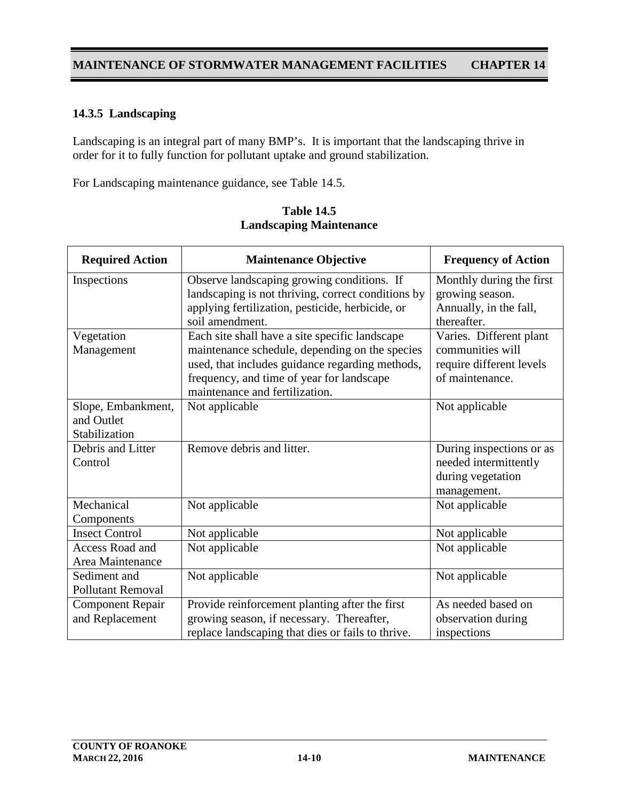# **14.3.5 Landscaping**

Landscaping is an integral part of many BMP's. It is important that the landscaping thrive in order for it to fully function for pollutant uptake and ground stabilization.

For Landscaping maintenance guidance, see Table 14.5.

| <b>Required Action</b>   | <b>Maintenance Objective</b>                                                | <b>Frequency of Action</b> |
|--------------------------|-----------------------------------------------------------------------------|----------------------------|
| Inspections              | Observe landscaping growing conditions. If                                  | Monthly during the first   |
|                          | landscaping is not thriving, correct conditions by                          | growing season.            |
|                          | applying fertilization, pesticide, herbicide, or                            | Annually, in the fall,     |
|                          | soil amendment.                                                             | thereafter.                |
| Vegetation               | Each site shall have a site specific landscape                              | Varies. Different plant    |
| Management               | maintenance schedule, depending on the species                              | communities will           |
|                          | used, that includes guidance regarding methods,                             | require different levels   |
|                          | frequency, and time of year for landscape<br>maintenance and fertilization. | of maintenance.            |
| Slope, Embankment,       | Not applicable                                                              | Not applicable             |
| and Outlet               |                                                                             |                            |
| Stabilization            |                                                                             |                            |
| Debris and Litter        | Remove debris and litter.                                                   | During inspections or as   |
| Control                  |                                                                             | needed intermittently      |
|                          |                                                                             | during vegetation          |
|                          |                                                                             | management.                |
| Mechanical               | Not applicable                                                              | Not applicable             |
| Components               |                                                                             |                            |
| <b>Insect Control</b>    | Not applicable                                                              | Not applicable             |
| Access Road and          | Not applicable                                                              | Not applicable             |
| Area Maintenance         |                                                                             |                            |
| Sediment and             | Not applicable                                                              | Not applicable             |
| <b>Pollutant Removal</b> |                                                                             |                            |
| <b>Component Repair</b>  | Provide reinforcement planting after the first                              | As needed based on         |
| and Replacement          | growing season, if necessary. Thereafter,                                   | observation during         |
|                          | replace landscaping that dies or fails to thrive.                           | inspections                |

#### **Table 14.5 Landscaping Maintenance**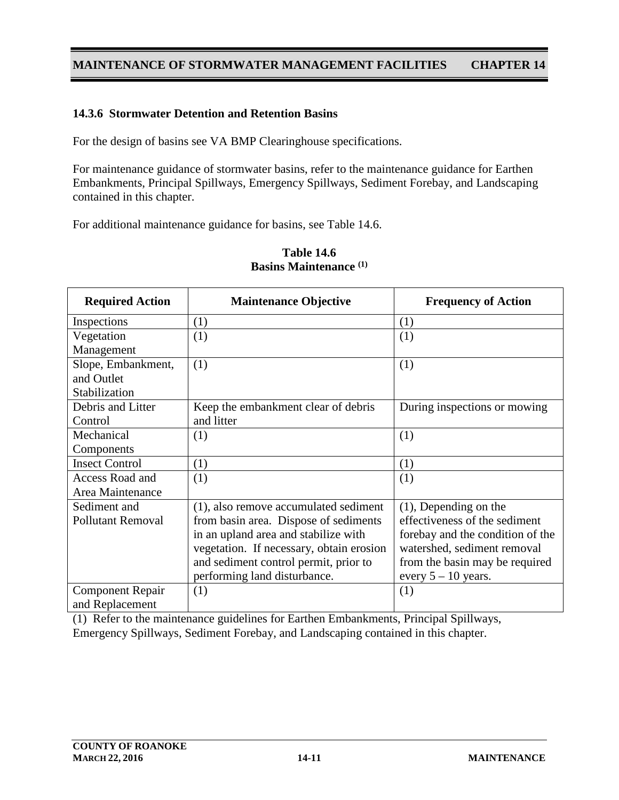#### **14.3.6 Stormwater Detention and Retention Basins**

For the design of basins see VA BMP Clearinghouse specifications.

For maintenance guidance of stormwater basins, refer to the maintenance guidance for Earthen Embankments, Principal Spillways, Emergency Spillways, Sediment Forebay, and Landscaping contained in this chapter.

For additional maintenance guidance for basins, see Table 14.6.

| <b>Required Action</b>   | <b>Maintenance Objective</b>             | <b>Frequency of Action</b>       |
|--------------------------|------------------------------------------|----------------------------------|
| Inspections              | (1)                                      | (1)                              |
| Vegetation               | (1)                                      | (1)                              |
| Management               |                                          |                                  |
| Slope, Embankment,       | (1)                                      | (1)                              |
| and Outlet               |                                          |                                  |
| Stabilization            |                                          |                                  |
| Debris and Litter        | Keep the embankment clear of debris      | During inspections or mowing     |
| Control                  | and litter                               |                                  |
| Mechanical               | (1)                                      | (1)                              |
| Components               |                                          |                                  |
| <b>Insect Control</b>    | (1)                                      | (1)                              |
| Access Road and          | (1)                                      | (1)                              |
| Area Maintenance         |                                          |                                  |
| Sediment and             | (1), also remove accumulated sediment    | $(1)$ , Depending on the         |
| <b>Pollutant Removal</b> | from basin area. Dispose of sediments    | effectiveness of the sediment    |
|                          | in an upland area and stabilize with     | forebay and the condition of the |
|                          | vegetation. If necessary, obtain erosion | watershed, sediment removal      |
|                          | and sediment control permit, prior to    | from the basin may be required   |
|                          | performing land disturbance.             | every $5 - 10$ years.            |
| <b>Component Repair</b>  | (1)                                      | (1)                              |
| and Replacement          |                                          |                                  |

### **Table 14.6 Basins Maintenance (1)**

(1) Refer to the maintenance guidelines for Earthen Embankments, Principal Spillways, Emergency Spillways, Sediment Forebay, and Landscaping contained in this chapter.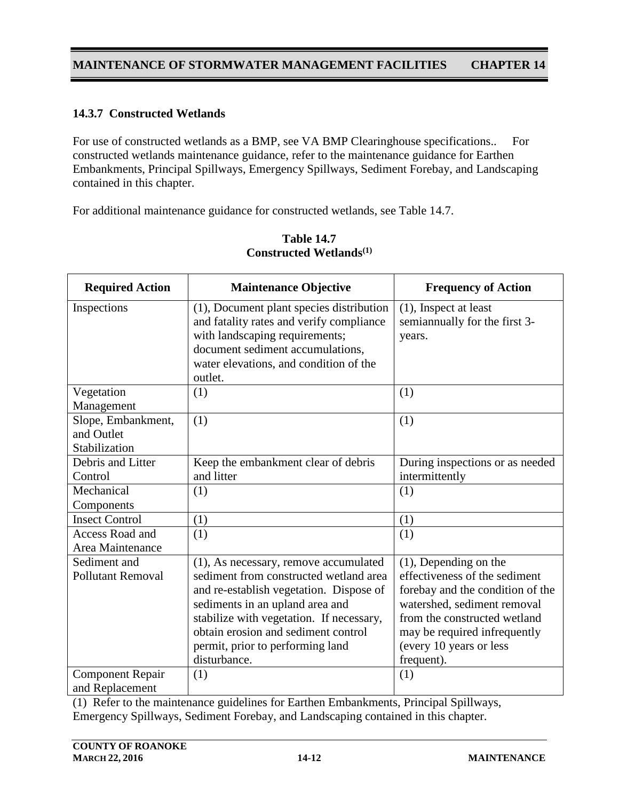# **14.3.7 Constructed Wetlands**

For use of constructed wetlands as a BMP, see VA BMP Clearinghouse specifications.. For constructed wetlands maintenance guidance, refer to the maintenance guidance for Earthen Embankments, Principal Spillways, Emergency Spillways, Sediment Forebay, and Landscaping contained in this chapter.

For additional maintenance guidance for constructed wetlands, see Table 14.7.

| <b>Required Action</b>                            | <b>Maintenance Objective</b>                                                                                                                                                                                                                                                                         | <b>Frequency of Action</b>                                                                                                                                                                                                            |
|---------------------------------------------------|------------------------------------------------------------------------------------------------------------------------------------------------------------------------------------------------------------------------------------------------------------------------------------------------------|---------------------------------------------------------------------------------------------------------------------------------------------------------------------------------------------------------------------------------------|
| Inspections                                       | (1), Document plant species distribution<br>and fatality rates and verify compliance<br>with landscaping requirements;<br>document sediment accumulations,<br>water elevations, and condition of the<br>outlet.                                                                                      | $(1)$ , Inspect at least<br>semiannually for the first 3-<br>years.                                                                                                                                                                   |
| Vegetation<br>Management                          | (1)                                                                                                                                                                                                                                                                                                  | (1)                                                                                                                                                                                                                                   |
| Slope, Embankment,<br>and Outlet<br>Stabilization | (1)                                                                                                                                                                                                                                                                                                  | (1)                                                                                                                                                                                                                                   |
| Debris and Litter<br>Control                      | Keep the embankment clear of debris<br>and litter                                                                                                                                                                                                                                                    | During inspections or as needed<br>intermittently                                                                                                                                                                                     |
| Mechanical<br>Components                          | (1)                                                                                                                                                                                                                                                                                                  | (1)                                                                                                                                                                                                                                   |
| <b>Insect Control</b>                             | (1)                                                                                                                                                                                                                                                                                                  | (1)                                                                                                                                                                                                                                   |
| <b>Access Road and</b><br>Area Maintenance        | (1)                                                                                                                                                                                                                                                                                                  | (1)                                                                                                                                                                                                                                   |
| Sediment and<br><b>Pollutant Removal</b>          | (1), As necessary, remove accumulated<br>sediment from constructed wetland area<br>and re-establish vegetation. Dispose of<br>sediments in an upland area and<br>stabilize with vegetation. If necessary,<br>obtain erosion and sediment control<br>permit, prior to performing land<br>disturbance. | $(1)$ , Depending on the<br>effectiveness of the sediment<br>forebay and the condition of the<br>watershed, sediment removal<br>from the constructed wetland<br>may be required infrequently<br>(every 10 years or less<br>frequent). |
| <b>Component Repair</b><br>and Replacement        | (1)                                                                                                                                                                                                                                                                                                  | (1)                                                                                                                                                                                                                                   |

### **Table 14.7 Constructed Wetlands(1)**

(1) Refer to the maintenance guidelines for Earthen Embankments, Principal Spillways, Emergency Spillways, Sediment Forebay, and Landscaping contained in this chapter.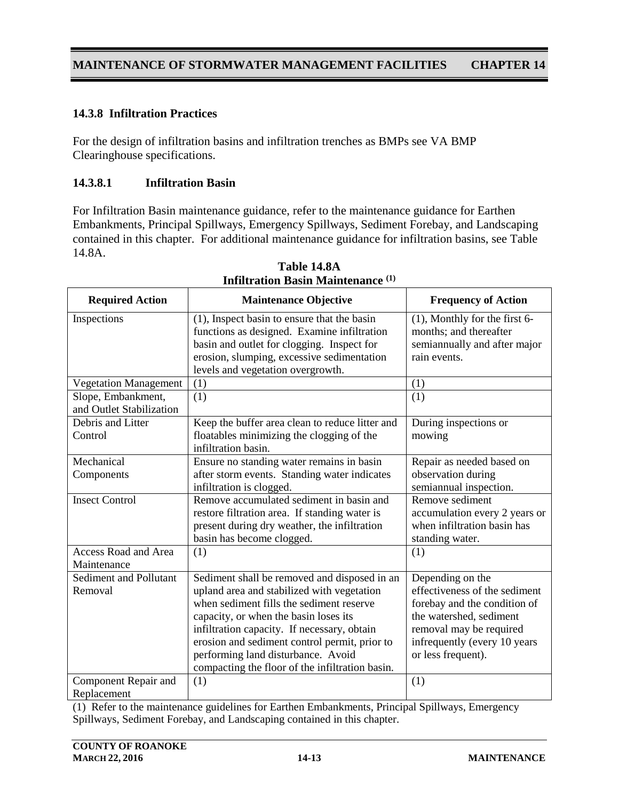## **14.3.8 Infiltration Practices**

For the design of infiltration basins and infiltration trenches as BMPs see VA BMP Clearinghouse specifications.

#### **14.3.8.1 Infiltration Basin**

For Infiltration Basin maintenance guidance, refer to the maintenance guidance for Earthen Embankments, Principal Spillways, Emergency Spillways, Sediment Forebay, and Landscaping contained in this chapter. For additional maintenance guidance for infiltration basins, see Table 14.8A.

| <b>Required Action</b>                         | <b>Maintenance Objective</b>                                                                                                                                                                                                                                                                                                                                             | <b>Frequency of Action</b>                                                                                                                                                                    |
|------------------------------------------------|--------------------------------------------------------------------------------------------------------------------------------------------------------------------------------------------------------------------------------------------------------------------------------------------------------------------------------------------------------------------------|-----------------------------------------------------------------------------------------------------------------------------------------------------------------------------------------------|
| Inspections                                    | $(1)$ , Inspect basin to ensure that the basin<br>functions as designed. Examine infiltration<br>basin and outlet for clogging. Inspect for<br>erosion, slumping, excessive sedimentation<br>levels and vegetation overgrowth.                                                                                                                                           | $(1)$ , Monthly for the first 6-<br>months; and thereafter<br>semiannually and after major<br>rain events.                                                                                    |
| <b>Vegetation Management</b>                   | (1)                                                                                                                                                                                                                                                                                                                                                                      | (1)                                                                                                                                                                                           |
| Slope, Embankment,<br>and Outlet Stabilization | (1)                                                                                                                                                                                                                                                                                                                                                                      | (1)                                                                                                                                                                                           |
| Debris and Litter<br>Control                   | Keep the buffer area clean to reduce litter and<br>floatables minimizing the clogging of the<br>infiltration basin.                                                                                                                                                                                                                                                      | During inspections or<br>mowing                                                                                                                                                               |
| Mechanical<br>Components                       | Ensure no standing water remains in basin<br>after storm events. Standing water indicates<br>infiltration is clogged.                                                                                                                                                                                                                                                    | Repair as needed based on<br>observation during<br>semiannual inspection.                                                                                                                     |
| <b>Insect Control</b>                          | Remove accumulated sediment in basin and<br>restore filtration area. If standing water is<br>present during dry weather, the infiltration<br>basin has become clogged.                                                                                                                                                                                                   | Remove sediment<br>accumulation every 2 years or<br>when infiltration basin has<br>standing water.                                                                                            |
| <b>Access Road and Area</b><br>Maintenance     | (1)                                                                                                                                                                                                                                                                                                                                                                      | (1)                                                                                                                                                                                           |
| Sediment and Pollutant<br>Removal              | Sediment shall be removed and disposed in an<br>upland area and stabilized with vegetation<br>when sediment fills the sediment reserve<br>capacity, or when the basin loses its<br>infiltration capacity. If necessary, obtain<br>erosion and sediment control permit, prior to<br>performing land disturbance. Avoid<br>compacting the floor of the infiltration basin. | Depending on the<br>effectiveness of the sediment<br>forebay and the condition of<br>the watershed, sediment<br>removal may be required<br>infrequently (every 10 years<br>or less frequent). |
| Component Repair and<br>Replacement            | (1)                                                                                                                                                                                                                                                                                                                                                                      | (1)                                                                                                                                                                                           |

**Table 14.8A Infiltration Basin Maintenance (1)**

(1) Refer to the maintenance guidelines for Earthen Embankments, Principal Spillways, Emergency Spillways, Sediment Forebay, and Landscaping contained in this chapter.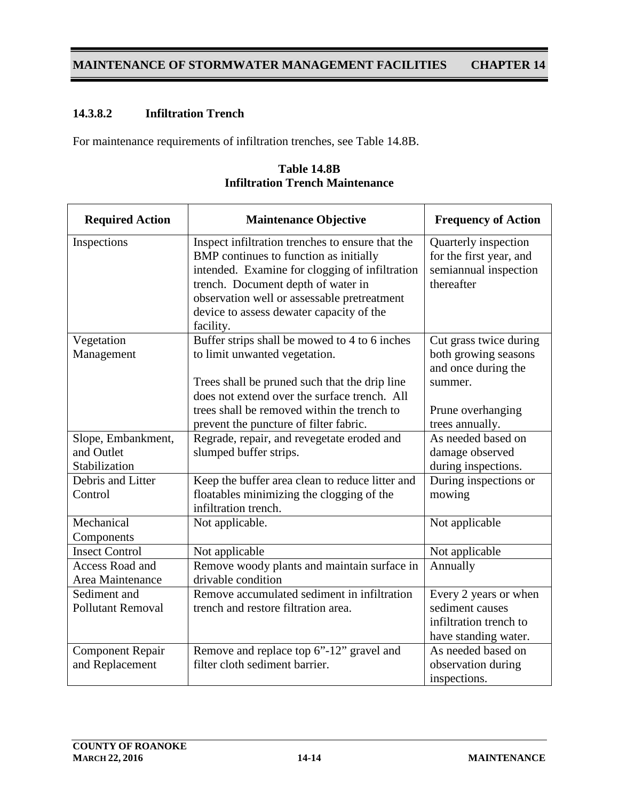# **14.3.8.2 Infiltration Trench**

For maintenance requirements of infiltration trenches, see Table 14.8B.

| <b>Required Action</b>                     | <b>Maintenance Objective</b>                                                                                                                                                                                                                                                               | <b>Frequency of Action</b>                                                             |
|--------------------------------------------|--------------------------------------------------------------------------------------------------------------------------------------------------------------------------------------------------------------------------------------------------------------------------------------------|----------------------------------------------------------------------------------------|
| Inspections                                | Inspect infiltration trenches to ensure that the<br>BMP continues to function as initially<br>intended. Examine for clogging of infiltration<br>trench. Document depth of water in<br>observation well or assessable pretreatment<br>device to assess dewater capacity of the<br>facility. | Quarterly inspection<br>for the first year, and<br>semiannual inspection<br>thereafter |
| Vegetation<br>Management                   | Buffer strips shall be mowed to 4 to 6 inches<br>to limit unwanted vegetation.                                                                                                                                                                                                             | Cut grass twice during<br>both growing seasons                                         |
|                                            | Trees shall be pruned such that the drip line<br>does not extend over the surface trench. All                                                                                                                                                                                              | and once during the<br>summer.                                                         |
|                                            | trees shall be removed within the trench to                                                                                                                                                                                                                                                | Prune overhanging                                                                      |
| Slope, Embankment,                         | prevent the puncture of filter fabric.<br>Regrade, repair, and revegetate eroded and                                                                                                                                                                                                       | trees annually.<br>As needed based on                                                  |
| and Outlet                                 | slumped buffer strips.                                                                                                                                                                                                                                                                     | damage observed                                                                        |
| Stabilization                              |                                                                                                                                                                                                                                                                                            | during inspections.                                                                    |
| Debris and Litter                          | Keep the buffer area clean to reduce litter and                                                                                                                                                                                                                                            | During inspections or                                                                  |
| Control                                    | floatables minimizing the clogging of the<br>infiltration trench.                                                                                                                                                                                                                          | mowing                                                                                 |
| Mechanical<br>Components                   | Not applicable.                                                                                                                                                                                                                                                                            | Not applicable                                                                         |
| <b>Insect Control</b>                      | Not applicable                                                                                                                                                                                                                                                                             | Not applicable                                                                         |
| <b>Access Road and</b><br>Area Maintenance | Remove woody plants and maintain surface in<br>drivable condition                                                                                                                                                                                                                          | Annually                                                                               |
| Sediment and                               | Remove accumulated sediment in infiltration                                                                                                                                                                                                                                                | Every 2 years or when                                                                  |
| <b>Pollutant Removal</b>                   | trench and restore filtration area.                                                                                                                                                                                                                                                        | sediment causes<br>infiltration trench to<br>have standing water.                      |
| <b>Component Repair</b>                    | Remove and replace top 6"-12" gravel and                                                                                                                                                                                                                                                   | As needed based on                                                                     |
| and Replacement                            | filter cloth sediment barrier.                                                                                                                                                                                                                                                             | observation during                                                                     |
|                                            |                                                                                                                                                                                                                                                                                            | inspections.                                                                           |

**Table 14.8B Infiltration Trench Maintenance**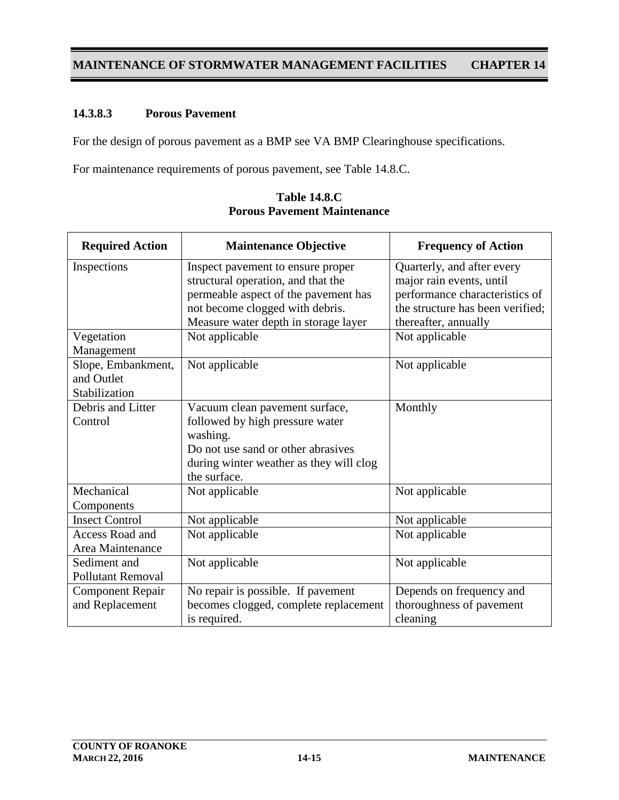### **14.3.8.3 Porous Pavement**

For the design of porous pavement as a BMP see VA BMP Clearinghouse specifications.

For maintenance requirements of porous pavement, see Table 14.8.C.

| <b>Required Action</b>   | <b>Maintenance Objective</b>            | <b>Frequency of Action</b>       |
|--------------------------|-----------------------------------------|----------------------------------|
| Inspections              | Inspect pavement to ensure proper       | Quarterly, and after every       |
|                          | structural operation, and that the      | major rain events, until         |
|                          | permeable aspect of the pavement has    | performance characteristics of   |
|                          | not become clogged with debris.         | the structure has been verified; |
|                          | Measure water depth in storage layer    | thereafter, annually             |
| Vegetation               | Not applicable                          | Not applicable                   |
| Management               |                                         |                                  |
| Slope, Embankment,       | Not applicable                          | Not applicable                   |
| and Outlet               |                                         |                                  |
| Stabilization            |                                         |                                  |
| Debris and Litter        | Vacuum clean pavement surface,          | Monthly                          |
| Control                  | followed by high pressure water         |                                  |
|                          | washing.                                |                                  |
|                          | Do not use sand or other abrasives      |                                  |
|                          | during winter weather as they will clog |                                  |
|                          | the surface.                            |                                  |
| Mechanical               | Not applicable                          | Not applicable                   |
| Components               |                                         |                                  |
| <b>Insect Control</b>    | Not applicable                          | Not applicable                   |
| Access Road and          | Not applicable                          | Not applicable                   |
| Area Maintenance         |                                         |                                  |
| Sediment and             | Not applicable                          | Not applicable                   |
| <b>Pollutant Removal</b> |                                         |                                  |
| <b>Component Repair</b>  | No repair is possible. If pavement      | Depends on frequency and         |
| and Replacement          | becomes clogged, complete replacement   | thoroughness of pavement         |
|                          | is required.                            | cleaning                         |

**Table 14.8.C Porous Pavement Maintenance**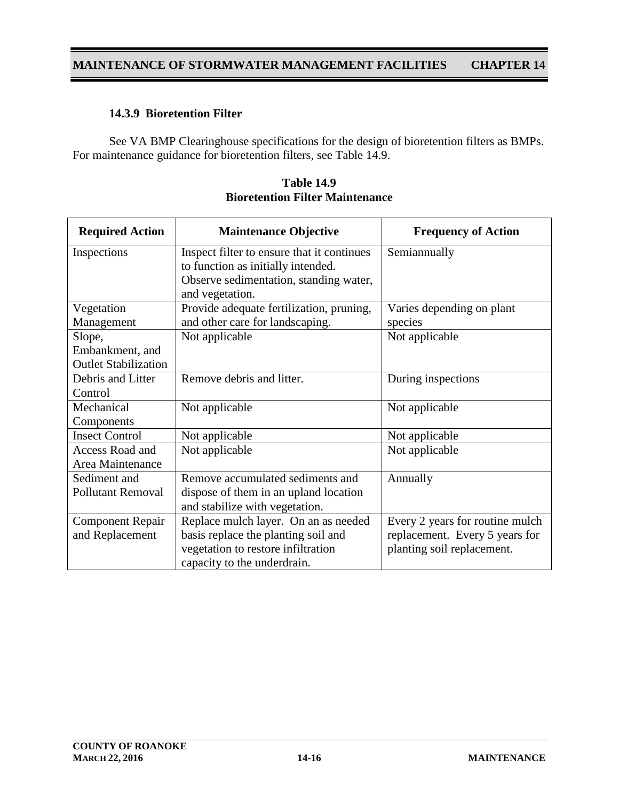### **14.3.9 Bioretention Filter**

See VA BMP Clearinghouse specifications for the design of bioretention filters as BMPs. For maintenance guidance for bioretention filters, see Table 14.9.

| <b>Required Action</b>      | <b>Maintenance Objective</b>               | <b>Frequency of Action</b>      |
|-----------------------------|--------------------------------------------|---------------------------------|
| Inspections                 | Inspect filter to ensure that it continues | Semiannually                    |
|                             | to function as initially intended.         |                                 |
|                             | Observe sedimentation, standing water,     |                                 |
|                             | and vegetation.                            |                                 |
| Vegetation                  | Provide adequate fertilization, pruning,   | Varies depending on plant       |
| Management                  | and other care for landscaping.            | species                         |
| Slope,                      | Not applicable                             | Not applicable                  |
| Embankment, and             |                                            |                                 |
| <b>Outlet Stabilization</b> |                                            |                                 |
| Debris and Litter           | Remove debris and litter.                  | During inspections              |
| Control                     |                                            |                                 |
| Mechanical                  | Not applicable                             | Not applicable                  |
| Components                  |                                            |                                 |
| <b>Insect Control</b>       | Not applicable                             | Not applicable                  |
| Access Road and             | Not applicable                             | Not applicable                  |
| Area Maintenance            |                                            |                                 |
| Sediment and                | Remove accumulated sediments and           | Annually                        |
| <b>Pollutant Removal</b>    | dispose of them in an upland location      |                                 |
|                             | and stabilize with vegetation.             |                                 |
| <b>Component Repair</b>     | Replace mulch layer. On an as needed       | Every 2 years for routine mulch |
| and Replacement             | basis replace the planting soil and        | replacement. Every 5 years for  |
|                             | vegetation to restore infiltration         | planting soil replacement.      |
|                             | capacity to the underdrain.                |                                 |

**Table 14.9 Bioretention Filter Maintenance**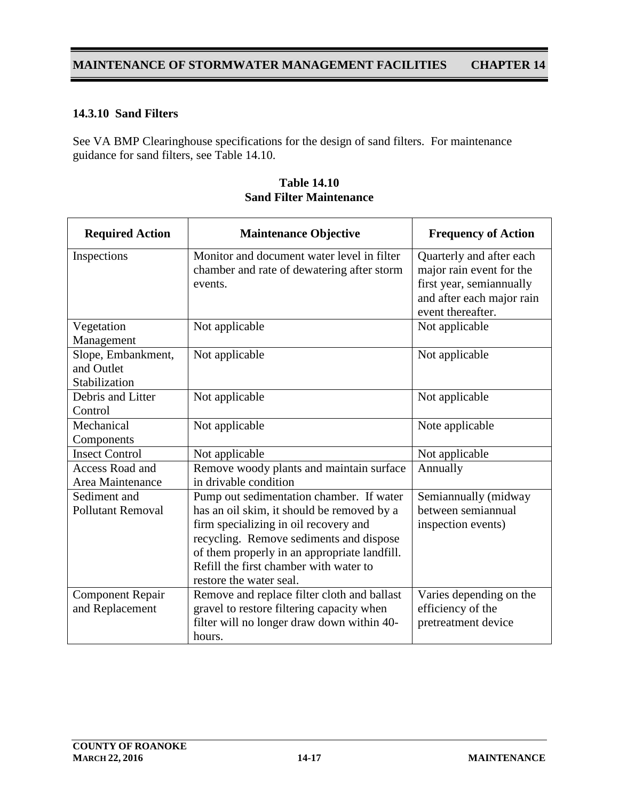## **14.3.10 Sand Filters**

See VA BMP Clearinghouse specifications for the design of sand filters. For maintenance guidance for sand filters, see Table 14.10.

| <b>Required Action</b>                            | <b>Maintenance Objective</b>                                                                                                                                                                                                                                                                    | <b>Frequency of Action</b>                                                                                                         |
|---------------------------------------------------|-------------------------------------------------------------------------------------------------------------------------------------------------------------------------------------------------------------------------------------------------------------------------------------------------|------------------------------------------------------------------------------------------------------------------------------------|
| Inspections                                       | Monitor and document water level in filter<br>chamber and rate of dewatering after storm<br>events.                                                                                                                                                                                             | Quarterly and after each<br>major rain event for the<br>first year, semiannually<br>and after each major rain<br>event thereafter. |
| Vegetation<br>Management                          | Not applicable                                                                                                                                                                                                                                                                                  | Not applicable                                                                                                                     |
| Slope, Embankment,<br>and Outlet<br>Stabilization | Not applicable                                                                                                                                                                                                                                                                                  | Not applicable                                                                                                                     |
| Debris and Litter<br>Control                      | Not applicable                                                                                                                                                                                                                                                                                  | Not applicable                                                                                                                     |
| Mechanical<br>Components                          | Not applicable                                                                                                                                                                                                                                                                                  | Note applicable                                                                                                                    |
| <b>Insect Control</b>                             | Not applicable                                                                                                                                                                                                                                                                                  | Not applicable                                                                                                                     |
| Access Road and<br>Area Maintenance               | Remove woody plants and maintain surface<br>in drivable condition                                                                                                                                                                                                                               | Annually                                                                                                                           |
| Sediment and<br><b>Pollutant Removal</b>          | Pump out sedimentation chamber. If water<br>has an oil skim, it should be removed by a<br>firm specializing in oil recovery and<br>recycling. Remove sediments and dispose<br>of them properly in an appropriate landfill.<br>Refill the first chamber with water to<br>restore the water seal. | Semiannually (midway<br>between semiannual<br>inspection events)                                                                   |
| <b>Component Repair</b><br>and Replacement        | Remove and replace filter cloth and ballast<br>gravel to restore filtering capacity when<br>filter will no longer draw down within 40-<br>hours.                                                                                                                                                | Varies depending on the<br>efficiency of the<br>pretreatment device                                                                |

| <b>Table 14.10</b>             |
|--------------------------------|
| <b>Sand Filter Maintenance</b> |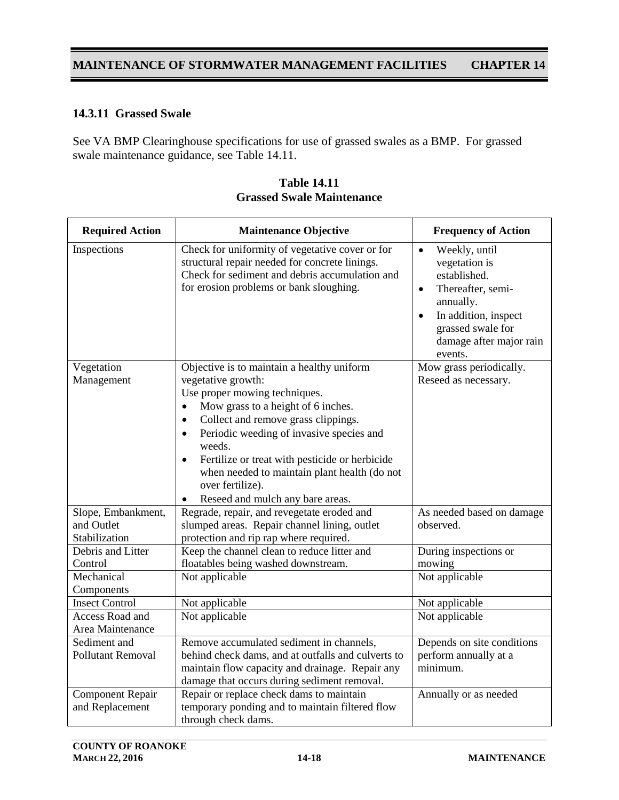### **14.3.11 Grassed Swale**

See VA BMP Clearinghouse specifications for use of grassed swales as a BMP. For grassed swale maintenance guidance, see Table 14.11.

| <b>Required Action</b>                            | <b>Maintenance Objective</b>                                                                                                                                                                                                                                                                                                                                                                                                                                    | <b>Frequency of Action</b>                                                                                                                                                                                 |
|---------------------------------------------------|-----------------------------------------------------------------------------------------------------------------------------------------------------------------------------------------------------------------------------------------------------------------------------------------------------------------------------------------------------------------------------------------------------------------------------------------------------------------|------------------------------------------------------------------------------------------------------------------------------------------------------------------------------------------------------------|
| Inspections                                       | Check for uniformity of vegetative cover or for<br>structural repair needed for concrete linings.<br>Check for sediment and debris accumulation and<br>for erosion problems or bank sloughing.                                                                                                                                                                                                                                                                  | Weekly, until<br>$\bullet$<br>vegetation is<br>established.<br>Thereafter, semi-<br>$\bullet$<br>annually.<br>In addition, inspect<br>$\bullet$<br>grassed swale for<br>damage after major rain<br>events. |
| Vegetation<br>Management                          | Objective is to maintain a healthy uniform<br>vegetative growth:<br>Use proper mowing techniques.<br>Mow grass to a height of 6 inches.<br>$\bullet$<br>Collect and remove grass clippings.<br>$\bullet$<br>Periodic weeding of invasive species and<br>$\bullet$<br>weeds.<br>Fertilize or treat with pesticide or herbicide<br>$\bullet$<br>when needed to maintain plant health (do not<br>over fertilize).<br>Reseed and mulch any bare areas.<br>$\bullet$ | Mow grass periodically.<br>Reseed as necessary.                                                                                                                                                            |
| Slope, Embankment,<br>and Outlet<br>Stabilization | Regrade, repair, and revegetate eroded and<br>slumped areas. Repair channel lining, outlet<br>protection and rip rap where required.                                                                                                                                                                                                                                                                                                                            | As needed based on damage<br>observed.                                                                                                                                                                     |
| Debris and Litter<br>Control                      | Keep the channel clean to reduce litter and<br>floatables being washed downstream.                                                                                                                                                                                                                                                                                                                                                                              | During inspections or<br>mowing                                                                                                                                                                            |
| Mechanical<br>Components                          | Not applicable                                                                                                                                                                                                                                                                                                                                                                                                                                                  | Not applicable                                                                                                                                                                                             |
| <b>Insect Control</b>                             | Not applicable                                                                                                                                                                                                                                                                                                                                                                                                                                                  | Not applicable                                                                                                                                                                                             |
| Access Road and<br>Area Maintenance               | Not applicable                                                                                                                                                                                                                                                                                                                                                                                                                                                  | Not applicable                                                                                                                                                                                             |
| Sediment and<br><b>Pollutant Removal</b>          | Remove accumulated sediment in channels,<br>behind check dams, and at outfalls and culverts to<br>maintain flow capacity and drainage. Repair any<br>damage that occurs during sediment removal.                                                                                                                                                                                                                                                                | Depends on site conditions<br>perform annually at a<br>minimum.                                                                                                                                            |
| <b>Component Repair</b><br>and Replacement        | Repair or replace check dams to maintain<br>temporary ponding and to maintain filtered flow<br>through check dams.                                                                                                                                                                                                                                                                                                                                              | Annually or as needed                                                                                                                                                                                      |

**Table 14.11 Grassed Swale Maintenance**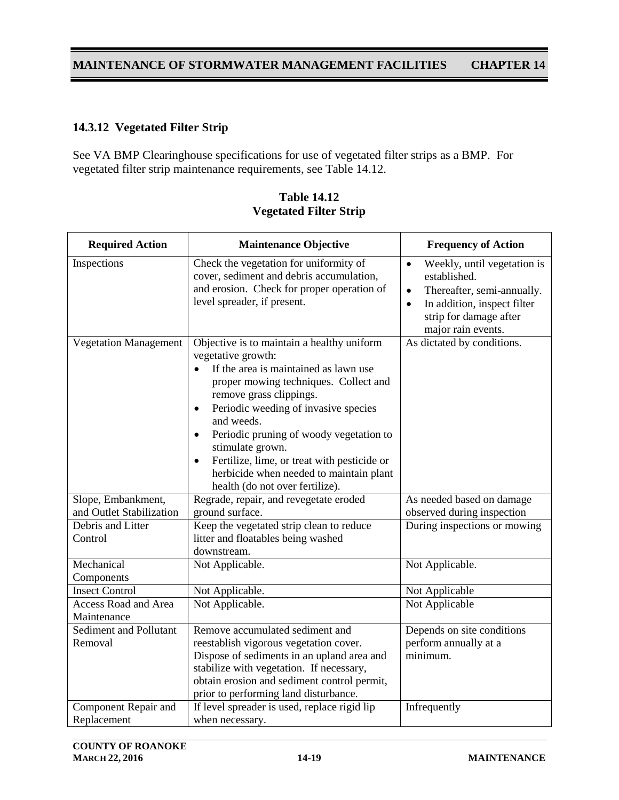### **14.3.12 Vegetated Filter Strip**

See VA BMP Clearinghouse specifications for use of vegetated filter strips as a BMP. For vegetated filter strip maintenance requirements, see Table 14.12.

| <b>Required Action</b>              | <b>Maintenance Objective</b>                                                                                                                                                                                                                                                                                                                                                                                                                                                        | <b>Frequency of Action</b>                                                                                                                                                                      |
|-------------------------------------|-------------------------------------------------------------------------------------------------------------------------------------------------------------------------------------------------------------------------------------------------------------------------------------------------------------------------------------------------------------------------------------------------------------------------------------------------------------------------------------|-------------------------------------------------------------------------------------------------------------------------------------------------------------------------------------------------|
| Inspections                         | Check the vegetation for uniformity of<br>cover, sediment and debris accumulation,<br>and erosion. Check for proper operation of<br>level spreader, if present.                                                                                                                                                                                                                                                                                                                     | Weekly, until vegetation is<br>$\bullet$<br>established.<br>Thereafter, semi-annually.<br>$\bullet$<br>In addition, inspect filter<br>$\bullet$<br>strip for damage after<br>major rain events. |
| <b>Vegetation Management</b>        | Objective is to maintain a healthy uniform<br>vegetative growth:<br>If the area is maintained as lawn use<br>$\bullet$<br>proper mowing techniques. Collect and<br>remove grass clippings.<br>Periodic weeding of invasive species<br>$\bullet$<br>and weeds.<br>Periodic pruning of woody vegetation to<br>$\bullet$<br>stimulate grown.<br>Fertilize, lime, or treat with pesticide or<br>$\bullet$<br>herbicide when needed to maintain plant<br>health (do not over fertilize). | As dictated by conditions.                                                                                                                                                                      |
| Slope, Embankment,                  | Regrade, repair, and revegetate eroded                                                                                                                                                                                                                                                                                                                                                                                                                                              | As needed based on damage                                                                                                                                                                       |
| and Outlet Stabilization            | ground surface.                                                                                                                                                                                                                                                                                                                                                                                                                                                                     | observed during inspection                                                                                                                                                                      |
| Debris and Litter<br>Control        | Keep the vegetated strip clean to reduce<br>litter and floatables being washed<br>downstream.                                                                                                                                                                                                                                                                                                                                                                                       | During inspections or mowing                                                                                                                                                                    |
| Mechanical<br>Components            | Not Applicable.                                                                                                                                                                                                                                                                                                                                                                                                                                                                     | Not Applicable.                                                                                                                                                                                 |
| <b>Insect Control</b>               | Not Applicable.                                                                                                                                                                                                                                                                                                                                                                                                                                                                     | Not Applicable                                                                                                                                                                                  |
| Access Road and Area<br>Maintenance | Not Applicable.                                                                                                                                                                                                                                                                                                                                                                                                                                                                     | Not Applicable                                                                                                                                                                                  |
| Sediment and Pollutant<br>Removal   | Remove accumulated sediment and<br>reestablish vigorous vegetation cover.<br>Dispose of sediments in an upland area and<br>stabilize with vegetation. If necessary,<br>obtain erosion and sediment control permit,<br>prior to performing land disturbance.                                                                                                                                                                                                                         | Depends on site conditions<br>perform annually at a<br>minimum.                                                                                                                                 |
| Component Repair and<br>Replacement | If level spreader is used, replace rigid lip<br>when necessary.                                                                                                                                                                                                                                                                                                                                                                                                                     | Infrequently                                                                                                                                                                                    |

**Table 14.12 Vegetated Filter Strip**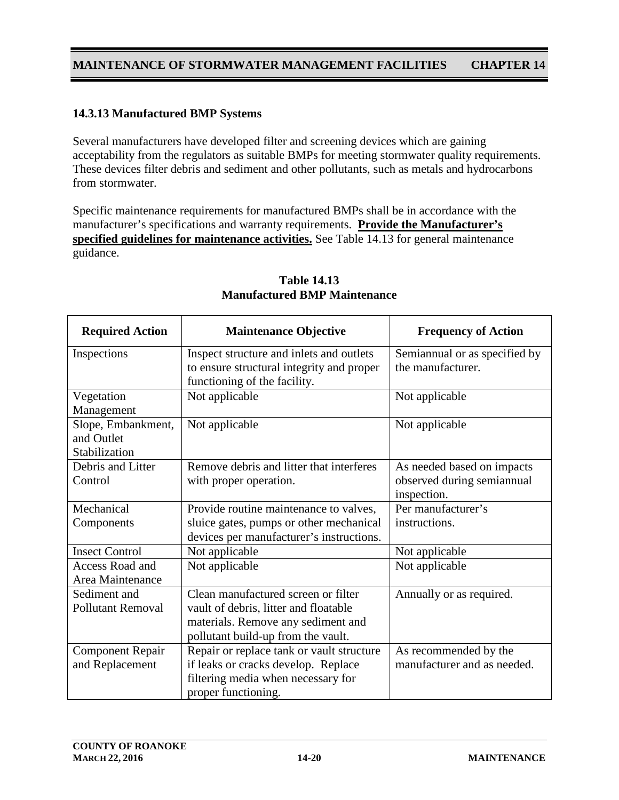#### **14.3.13 Manufactured BMP Systems**

Several manufacturers have developed filter and screening devices which are gaining acceptability from the regulators as suitable BMPs for meeting stormwater quality requirements. These devices filter debris and sediment and other pollutants, such as metals and hydrocarbons from stormwater.

Specific maintenance requirements for manufactured BMPs shall be in accordance with the manufacturer's specifications and warranty requirements. **Provide the Manufacturer's specified guidelines for maintenance activities.** See Table 14.13 for general maintenance guidance.

| <b>Required Action</b>   | <b>Maintenance Objective</b>              | <b>Frequency of Action</b>    |
|--------------------------|-------------------------------------------|-------------------------------|
| Inspections              | Inspect structure and inlets and outlets  | Semiannual or as specified by |
|                          | to ensure structural integrity and proper | the manufacturer.             |
|                          | functioning of the facility.              |                               |
| Vegetation               | Not applicable                            | Not applicable                |
| Management               |                                           |                               |
| Slope, Embankment,       | Not applicable                            | Not applicable                |
| and Outlet               |                                           |                               |
| Stabilization            |                                           |                               |
| Debris and Litter        | Remove debris and litter that interferes  | As needed based on impacts    |
| Control                  | with proper operation.                    | observed during semiannual    |
|                          |                                           | inspection.                   |
| Mechanical               | Provide routine maintenance to valves,    | Per manufacturer's            |
| Components               | sluice gates, pumps or other mechanical   | instructions.                 |
|                          | devices per manufacturer's instructions.  |                               |
| <b>Insect Control</b>    | Not applicable                            | Not applicable                |
| <b>Access Road and</b>   | Not applicable                            | Not applicable                |
| Area Maintenance         |                                           |                               |
| Sediment and             | Clean manufactured screen or filter       | Annually or as required.      |
| <b>Pollutant Removal</b> | vault of debris, litter and floatable     |                               |
|                          | materials. Remove any sediment and        |                               |
|                          | pollutant build-up from the vault.        |                               |
| <b>Component Repair</b>  | Repair or replace tank or vault structure | As recommended by the         |
| and Replacement          | if leaks or cracks develop. Replace       | manufacturer and as needed.   |
|                          | filtering media when necessary for        |                               |
|                          | proper functioning.                       |                               |

#### **Table 14.13 Manufactured BMP Maintenance**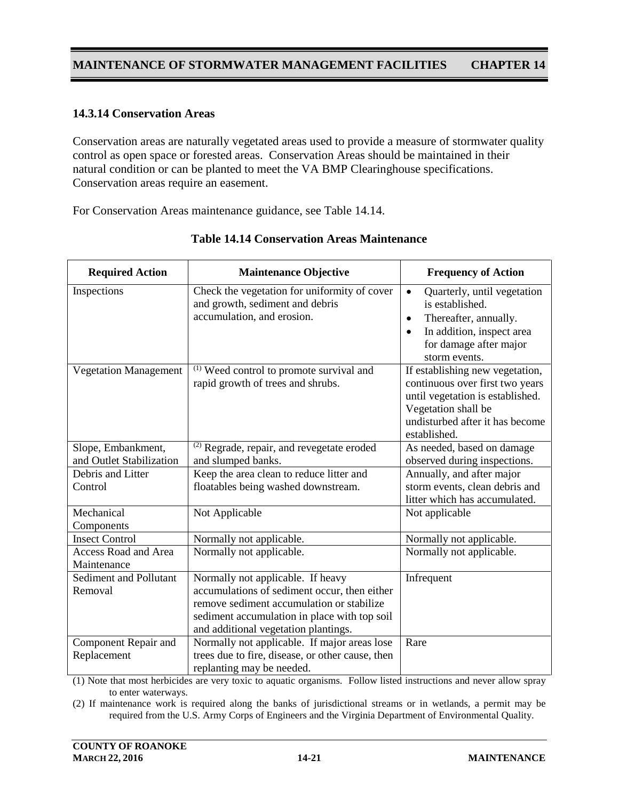### **14.3.14 Conservation Areas**

Conservation areas are naturally vegetated areas used to provide a measure of stormwater quality control as open space or forested areas. Conservation Areas should be maintained in their natural condition or can be planted to meet the VA BMP Clearinghouse specifications. Conservation areas require an easement.

For Conservation Areas maintenance guidance, see Table 14.14.

| <b>Required Action</b>                     | <b>Maintenance Objective</b>                                                                                                                                                                                           | <b>Frequency of Action</b>                                                                                                                                                             |
|--------------------------------------------|------------------------------------------------------------------------------------------------------------------------------------------------------------------------------------------------------------------------|----------------------------------------------------------------------------------------------------------------------------------------------------------------------------------------|
| Inspections                                | Check the vegetation for uniformity of cover<br>and growth, sediment and debris<br>accumulation, and erosion.                                                                                                          | Quarterly, until vegetation<br>$\bullet$<br>is established.<br>Thereafter, annually.<br>$\bullet$<br>In addition, inspect area<br>$\bullet$<br>for damage after major<br>storm events. |
| <b>Vegetation Management</b>               | <sup>(1)</sup> Weed control to promote survival and<br>rapid growth of trees and shrubs.                                                                                                                               | If establishing new vegetation,<br>continuous over first two years<br>until vegetation is established.<br>Vegetation shall be<br>undisturbed after it has become<br>established.       |
| Slope, Embankment,                         | <sup>(2)</sup> Regrade, repair, and revegetate eroded                                                                                                                                                                  | As needed, based on damage                                                                                                                                                             |
| and Outlet Stabilization                   | and slumped banks.                                                                                                                                                                                                     | observed during inspections.                                                                                                                                                           |
| Debris and Litter                          | Keep the area clean to reduce litter and                                                                                                                                                                               | Annually, and after major                                                                                                                                                              |
| Control                                    | floatables being washed downstream.                                                                                                                                                                                    | storm events, clean debris and<br>litter which has accumulated.                                                                                                                        |
| Mechanical<br>Components                   | Not Applicable                                                                                                                                                                                                         | Not applicable                                                                                                                                                                         |
| <b>Insect Control</b>                      | Normally not applicable.                                                                                                                                                                                               | Normally not applicable.                                                                                                                                                               |
| <b>Access Road and Area</b><br>Maintenance | Normally not applicable.                                                                                                                                                                                               | Normally not applicable.                                                                                                                                                               |
| Sediment and Pollutant<br>Removal          | Normally not applicable. If heavy<br>accumulations of sediment occur, then either<br>remove sediment accumulation or stabilize<br>sediment accumulation in place with top soil<br>and additional vegetation plantings. | Infrequent                                                                                                                                                                             |
| Component Repair and<br>Replacement        | Normally not applicable. If major areas lose<br>trees due to fire, disease, or other cause, then<br>replanting may be needed.                                                                                          | Rare                                                                                                                                                                                   |

### **Table 14.14 Conservation Areas Maintenance**

(1) Note that most herbicides are very toxic to aquatic organisms. Follow listed instructions and never allow spray to enter waterways.

(2) If maintenance work is required along the banks of jurisdictional streams or in wetlands, a permit may be required from the U.S. Army Corps of Engineers and the Virginia Department of Environmental Quality.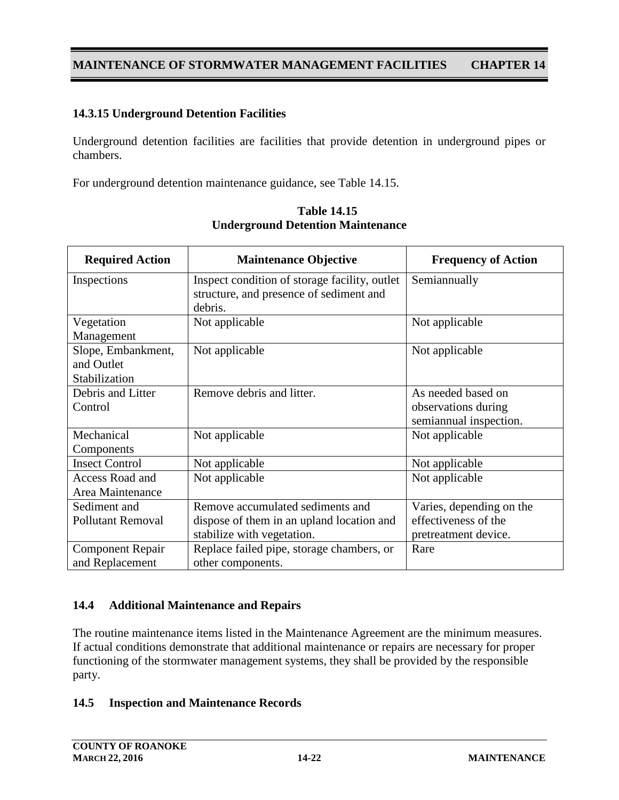### **14.3.15 Underground Detention Facilities**

Underground detention facilities are facilities that provide detention in underground pipes or chambers.

For underground detention maintenance guidance, see Table 14.15.

| <b>Required Action</b>   | <b>Maintenance Objective</b>                  | <b>Frequency of Action</b> |
|--------------------------|-----------------------------------------------|----------------------------|
| Inspections              | Inspect condition of storage facility, outlet | Semiannually               |
|                          | structure, and presence of sediment and       |                            |
|                          | debris.                                       |                            |
| Vegetation               | Not applicable                                | Not applicable             |
| Management               |                                               |                            |
| Slope, Embankment,       | Not applicable                                | Not applicable             |
| and Outlet               |                                               |                            |
| Stabilization            |                                               |                            |
| Debris and Litter        | Remove debris and litter.                     | As needed based on         |
| Control                  |                                               | observations during        |
|                          |                                               | semiannual inspection.     |
| Mechanical               | Not applicable                                | Not applicable             |
| Components               |                                               |                            |
| <b>Insect Control</b>    | Not applicable                                | Not applicable             |
| Access Road and          | Not applicable                                | Not applicable             |
| Area Maintenance         |                                               |                            |
| Sediment and             | Remove accumulated sediments and              | Varies, depending on the   |
| <b>Pollutant Removal</b> | dispose of them in an upland location and     | effectiveness of the       |
|                          | stabilize with vegetation.                    | pretreatment device.       |
| <b>Component Repair</b>  | Replace failed pipe, storage chambers, or     | Rare                       |
| and Replacement          | other components.                             |                            |

**Table 14.15 Underground Detention Maintenance**

### **14.4 Additional Maintenance and Repairs**

The routine maintenance items listed in the Maintenance Agreement are the minimum measures. If actual conditions demonstrate that additional maintenance or repairs are necessary for proper functioning of the stormwater management systems, they shall be provided by the responsible party.

### **14.5 Inspection and Maintenance Records**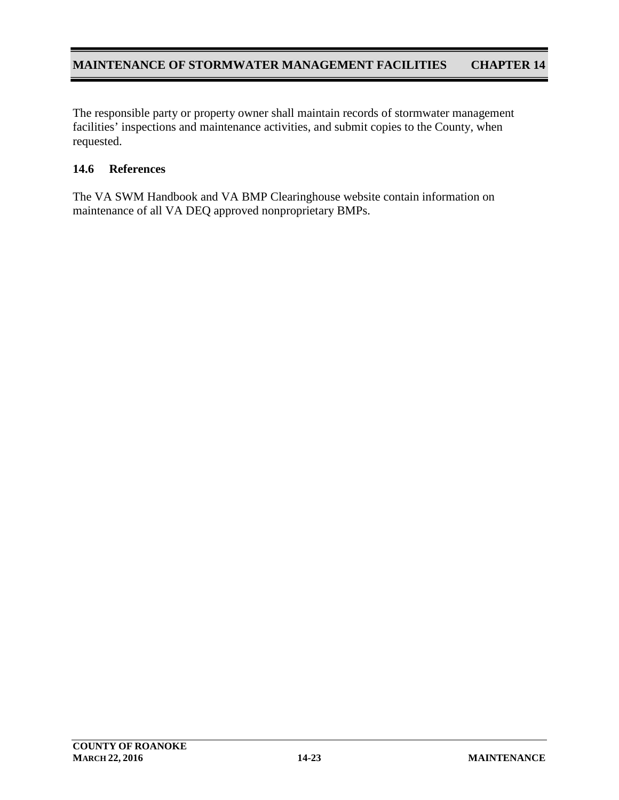The responsible party or property owner shall maintain records of stormwater management facilities' inspections and maintenance activities, and submit copies to the County, when requested.

### **14.6 References**

The VA SWM Handbook and VA BMP Clearinghouse website contain information on maintenance of all VA DEQ approved nonproprietary BMPs.